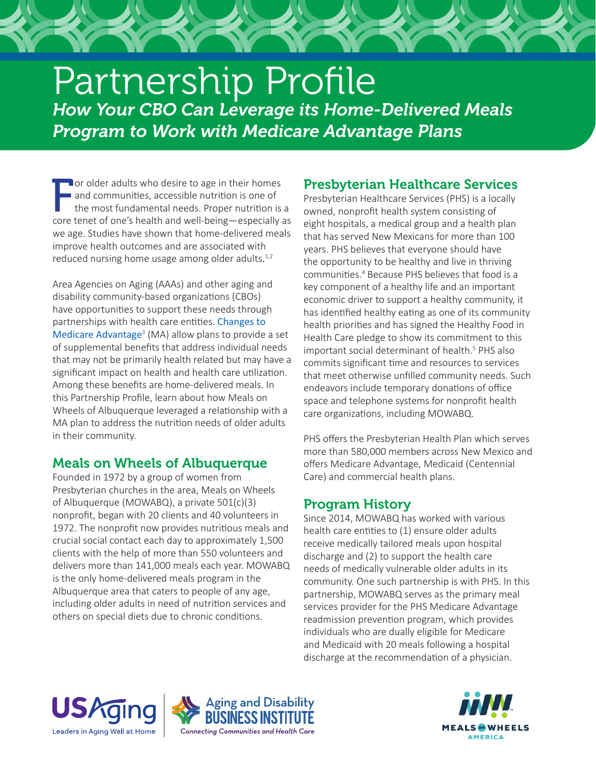# Partnership Profile *How Your CBO Can Leverage its Home-Delivered Meals Program to Work with Medicare Advantage Plans*

For older adults who desire to age in their homes<br>and communities, accessible nutrition is one of<br>the most fundamental needs. Proper nutrition is a<br>core tenet of one's health and well-being—especially as **O** or older adults who desire to age in their homes and communities, accessible nutrition is one of the most fundamental needs. Proper nutrition is a we age. Studies have shown that home-delivered meals improve health outcomes and are associated with reduced nursing home usage among older adults.<sup>1,2</sup>

Area Agencies on Aging (AAAs) and other aging and disability community-based organizations (CBOs) have opportunities to support these needs through partnerships with health care entities. [Changes to](https://www.aginganddisabilitybusinessinstitute.org/2020-final-call-letter-offers-guidance-and-structure-for-medicare-advantage-supplemental-benefits/)  [Medicare Advantage](https://www.aginganddisabilitybusinessinstitute.org/2020-final-call-letter-offers-guidance-and-structure-for-medicare-advantage-supplemental-benefits/)<sup>3</sup> (MA) allow plans to provide a set of supplemental benefits that address individual needs that may not be primarily health related but may have a significant impact on health and health care utilization. Among these benefits are home-delivered meals. In this Partnership Profile, learn about how Meals on Wheels of Albuquerque leveraged a relationship with a MA plan to address the nutrition needs of older adults in their community.

## Meals on Wheels of Albuquerque

Founded in 1972 by a group of women from Presbyterian churches in the area, Meals on Wheels of Albuquerque (MOWABQ), a private 501(c)(3) nonprofit, began with 20 clients and 40 volunteers in 1972. The nonprofit now provides nutritious meals and crucial social contact each day to approximately 1,500 clients with the help of more than 550 volunteers and delivers more than 141,000 meals each year. MOWABQ is the only home-delivered meals program in the Albuquerque area that caters to people of any age, including older adults in need of nutrition services and others on special diets due to chronic conditions.

## Presbyterian Healthcare Services

Presbyterian Healthcare Services (PHS) is a locally owned, nonprofit health system consisting of eight hospitals, a medical group and a health plan that has served New Mexicans for more than 100 years. PHS believes that everyone should have the opportunity to be healthy and live in thriving communities.4 Because PHS believes that food is a key component of a healthy life and an important economic driver to support a healthy community, it has identified healthy eating as one of its community health priorities and has signed the Healthy Food in Health Care pledge to show its commitment to this important social determinant of health.5 PHS also commits significant time and resources to services that meet otherwise unfilled community needs. Such endeavors include temporary donations of office space and telephone systems for nonprofit health care organizations, including MOWABQ.

PHS offers the Presbyterian Health Plan which serves more than 580,000 members across New Mexico and offers Medicare Advantage, Medicaid (Centennial Care) and commercial health plans.

## Program History

Since 2014, MOWABQ has worked with various health care entities to (1) ensure older adults receive medically tailored meals upon hospital discharge and (2) to support the health care needs of medically vulnerable older adults in its community. One such partnership is with PHS. In this partnership, MOWABQ serves as the primary meal services provider for the PHS Medicare Advantage readmission prevention program, which provides individuals who are dually eligible for Medicare and Medicaid with 20 meals following a hospital discharge at the recommendation of a physician.





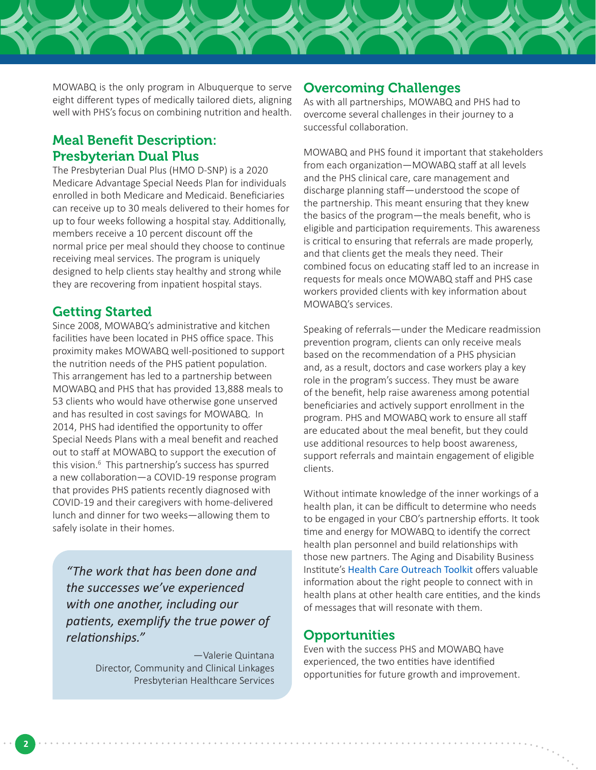MOWABQ is the only program in Albuquerque to serve eight different types of medically tailored diets, aligning well with PHS's focus on combining nutrition and health.

## Meal Benefit Description: Presbyterian Dual Plus

The Presbyterian Dual Plus (HMO D-SNP) is a 2020 Medicare Advantage Special Needs Plan for individuals enrolled in both Medicare and Medicaid. Beneficiaries can receive up to 30 meals delivered to their homes for up to four weeks following a hospital stay. Additionally, members receive a 10 percent discount off the normal price per meal should they choose to continue receiving meal services. The program is uniquely designed to help clients stay healthy and strong while they are recovering from inpatient hospital stays.

### Getting Started

Since 2008, MOWABQ's administrative and kitchen facilities have been located in PHS office space. This proximity makes MOWABQ well-positioned to support the nutrition needs of the PHS patient population. This arrangement has led to a partnership between MOWABQ and PHS that has provided 13,888 meals to 53 clients who would have otherwise gone unserved and has resulted in cost savings for MOWABQ. In 2014, PHS had identified the opportunity to offer Special Needs Plans with a meal benefit and reached out to staff at MOWABQ to support the execution of this vision.<sup>6</sup> This partnership's success has spurred a new collaboration—a COVID-19 response program that provides PHS patients recently diagnosed with COVID-19 and their caregivers with home-delivered lunch and dinner for two weeks—allowing them to safely isolate in their homes.

*"The work that has been done and the successes we've experienced with one another, including our patients, exemplify the true power of relationships."*

> —Valerie Quintana Director, Community and Clinical Linkages Presbyterian Healthcare Services

#### Overcoming Challenges

As with all partnerships, MOWABQ and PHS had to overcome several challenges in their journey to a successful collaboration.

MOWABQ and PHS found it important that stakeholders from each organization—MOWABQ staff at all levels and the PHS clinical care, care management and discharge planning staff—understood the scope of the partnership. This meant ensuring that they knew the basics of the program—the meals benefit, who is eligible and participation requirements. This awareness is critical to ensuring that referrals are made properly, and that clients get the meals they need. Their combined focus on educating staff led to an increase in requests for meals once MOWABQ staff and PHS case workers provided clients with key information about MOWABQ's services.

Speaking of referrals—under the Medicare readmission prevention program, clients can only receive meals based on the recommendation of a PHS physician and, as a result, doctors and case workers play a key role in the program's success. They must be aware of the benefit, help raise awareness among potential beneficiaries and actively support enrollment in the program. PHS and MOWABQ work to ensure all staff are educated about the meal benefit, but they could use additional resources to help boost awareness, support referrals and maintain engagement of eligible clients.

Without intimate knowledge of the inner workings of a health plan, it can be difficult to determine who needs to be engaged in your CBO's partnership efforts. It took time and energy for MOWABQ to identify the correct health plan personnel and build relationships with those new partners. The Aging and Disability Business Institute's [Health Care Outreach Toolkit](https://www.aginganddisabilitybusinessinstitute.org/your-comprehensive-guide-to-health-care-outreach-and-messaging/) offers valuable information about the right people to connect with in health plans at other health care entities, and the kinds of messages that will resonate with them.

#### **Opportunities**

Even with the success PHS and MOWABQ have experienced, the two entities have identified opportunities for future growth and improvement.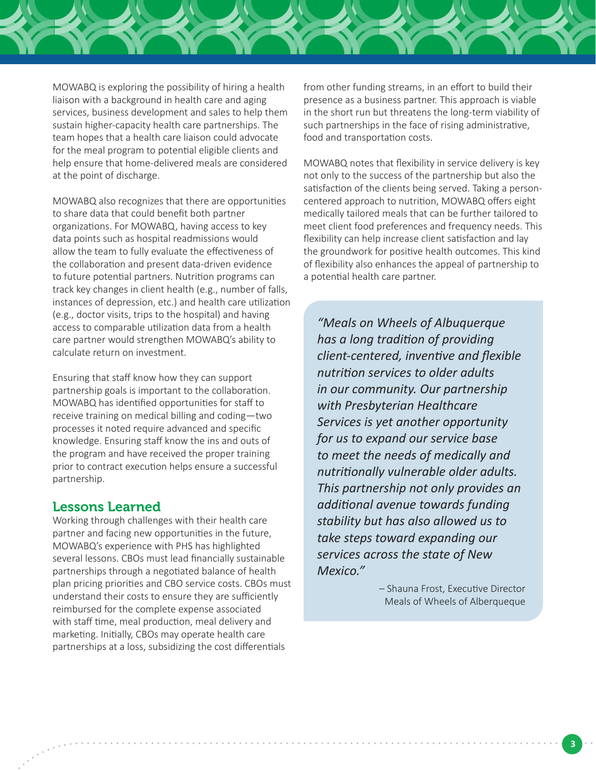

MOWABQ is exploring the possibility of hiring a health liaison with a background in health care and aging services, business development and sales to help them sustain higher-capacity health care partnerships. The team hopes that a health care liaison could advocate for the meal program to potential eligible clients and help ensure that home-delivered meals are considered at the point of discharge.

MOWABQ also recognizes that there are opportunities to share data that could benefit both partner organizations. For MOWABQ, having access to key data points such as hospital readmissions would allow the team to fully evaluate the effectiveness of the collaboration and present data-driven evidence to future potential partners. Nutrition programs can track key changes in client health (e.g., number of falls, instances of depression, etc.) and health care utilization (e.g., doctor visits, trips to the hospital) and having access to comparable utilization data from a health care partner would strengthen MOWABQ's ability to calculate return on investment.

Ensuring that staff know how they can support partnership goals is important to the collaboration. MOWABQ has identified opportunities for staff to receive training on medical billing and coding—two processes it noted require advanced and specific knowledge. Ensuring staff know the ins and outs of the program and have received the proper training prior to contract execution helps ensure a successful partnership.

#### Lessons Learned

Working through challenges with their health care partner and facing new opportunities in the future, MOWABQ's experience with PHS has highlighted several lessons. CBOs must lead financially sustainable partnerships through a negotiated balance of health plan pricing priorities and CBO service costs. CBOs must understand their costs to ensure they are sufficiently reimbursed for the complete expense associated with staff time, meal production, meal delivery and marketing. Initially, CBOs may operate health care partnerships at a loss, subsidizing the cost differentials

from other funding streams, in an effort to build their presence as a business partner. This approach is viable in the short run but threatens the long-term viability of such partnerships in the face of rising administrative, food and transportation costs.

MOWABQ notes that flexibility in service delivery is key not only to the success of the partnership but also the satisfaction of the clients being served. Taking a personcentered approach to nutrition, MOWABQ offers eight medically tailored meals that can be further tailored to meet client food preferences and frequency needs. This flexibility can help increase client satisfaction and lay the groundwork for positive health outcomes. This kind of flexibility also enhances the appeal of partnership to a potential health care partner.

*"Meals on Wheels of Albuquerque has a long tradition of providing client-centered, inventive and flexible nutrition services to older adults in our community. Our partnership with Presbyterian Healthcare Services is yet another opportunity for us to expand our service base to meet the needs of medically and nutritionally vulnerable older adults. This partnership not only provides an additional avenue towards funding stability but has also allowed us to take steps toward expanding our services across the state of New Mexico."* 

> – Shauna Frost, Executive Director Meals of Wheels of Alberqueque